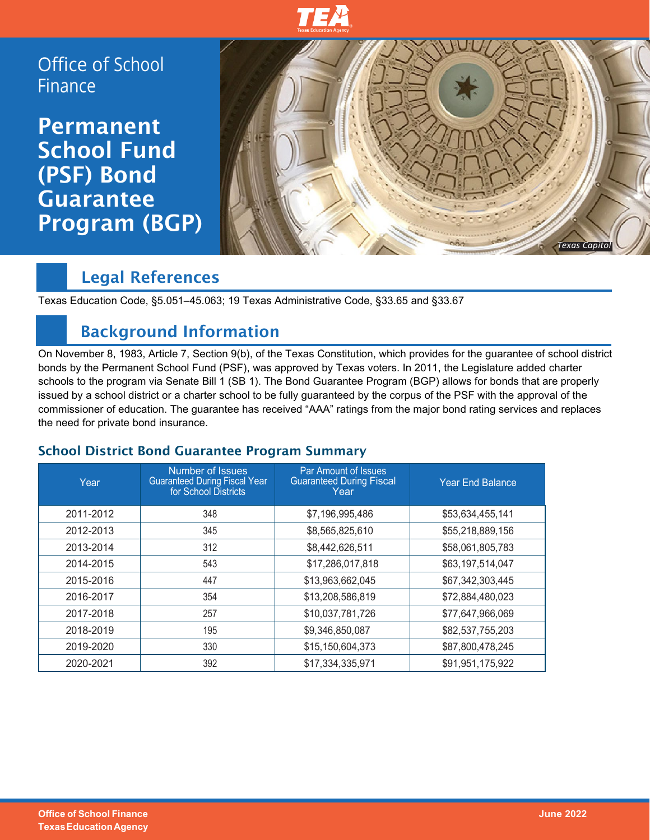

Office of School Finance

**Permanent** School Fund (PSF) Bond Guarantee Program (BGP)



## Legal References

Texas Education Code, §5.051–45.063; 19 Texas Administrative Code, §33.65 and §33.67

## Background Information

On November 8, 1983, Article 7, Section 9(b), of the Texas Constitution, which provides for the guarantee of school district bonds by the Permanent School Fund (PSF), was approved by Texas voters. In 2011, the Legislature added charter schools to the program via Senate Bill 1 (SB 1). The Bond Guarantee Program (BGP) allows for bonds that are properly issued by a school district or a charter school to be fully guaranteed by the corpus of the PSF with the approval of the commissioner of education. The guarantee has received "AAA" ratings from the major bond rating services and replaces the need for private bond insurance.

#### School District Bond Guarantee Program Summary

| Year      | Number of Issues<br><b>Guaranteed During Fiscal Year</b><br>for School Districts | Par Amount of Issues<br><b>Guaranteed During Fiscal</b><br>Year | <b>Year End Balance</b> |
|-----------|----------------------------------------------------------------------------------|-----------------------------------------------------------------|-------------------------|
| 2011-2012 | 348                                                                              | \$7,196,995,486                                                 | \$53,634,455,141        |
| 2012-2013 | 345                                                                              | \$8,565,825,610                                                 | \$55,218,889,156        |
| 2013-2014 | 312                                                                              | \$8,442,626,511                                                 | \$58,061,805,783        |
| 2014-2015 | 543                                                                              | \$17,286,017,818                                                | \$63,197,514,047        |
| 2015-2016 | 447                                                                              | \$13,963,662,045                                                | \$67,342,303,445        |
| 2016-2017 | 354                                                                              | \$13,208,586,819                                                | \$72,884,480,023        |
| 2017-2018 | 257                                                                              | \$10,037,781,726                                                | \$77,647,966,069        |
| 2018-2019 | 195                                                                              | \$9,346,850,087                                                 | \$82,537,755,203        |
| 2019-2020 | 330                                                                              | \$15,150,604,373                                                | \$87,800,478,245        |
| 2020-2021 | 392                                                                              | \$17,334,335,971                                                | \$91,951,175,922        |